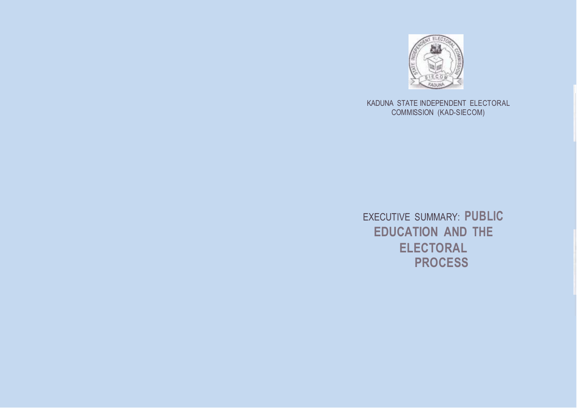

KADUNA STATE INDEPENDENT ELECTORAL COMMISSION (KAD-SIECOM)

EXECUTIVE SUMMARY: **PUBLIC EDUCATION AND THE ELECTORAL PROCESS**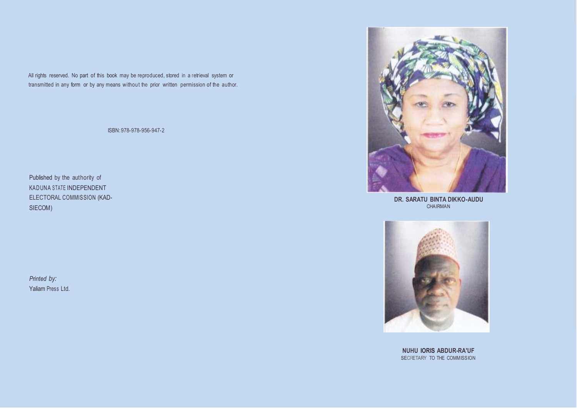All rights reserved. No part of this book may be reproduced, stored in a retrieval system or transmitted in any form or by any means without the prior written permission of the author.

ISBN:978-978-956-947-2

Published by the authority of KADUNA STATE INDEPENDENT ELECTORAL COMMISSION (KAD-SIECOM)

*Printed by:* Yaliam Press Ltd.



**DR. SARATU BINTA DIKKO-AUDU** CHAIRMAN



**NUHU lORIS ABDUR-RA'UF** SECRETARY TO THE COMMISSION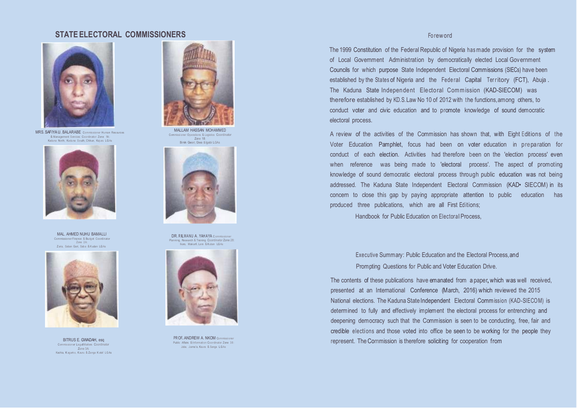### **STATE ELECTORAL COMMISSIONERS** For a state of the state of the state of the state of the state of the state of the state of the state of the state of the state of the state of the state of the state of the state of the st



MRS. SAFIYA U. BALARABE Commissioner Human Resources & Management Services Coordinator Zone 1A : Kaduna North, Kaduna South, Chikun, Kaj uru LGAs



MAL. AHMED NUHU BAMALLI Commissioner Finance & Budget Coordi nator Zone 2A: Z aria, Saban Gari, Saba & Kudan LGAs



BITRUS E. GWADAH, esq Commis sioner LegalMatters Coordinator Zone 3A: Kachia, K agark o, Kauru & Zanga K ataf LGAs



Commissi oner Operations & Logistics Coordinator Zone 18: Bimin Gwari, Giwa & lgabi LGAs



DR. RILWANU A. YAHAYA Commissioner Planning, Research & Training Coordinator Zone 28: Ikara, Makarfi, Lere & Kuban LGAs



PR OF. ANDREW A. NKOM Commissioner Public Affairs & Information Coordinator Zone 38: Jaba, J ama'a, Kaura & Sanga LGAs

The 1999 Constitution of the Federal Republic of Nigeria hasmade provision for the system of Local Government Administration by democratically elected Local Government Councils for which purpose State Independent Electoral Commissions (SIECs) have been established by the States of Nigeria and the Federal Capital Territory (FCT), Abuja. The Kaduna State Independent Electoral Commission (KAD-SIECOM) was therefore established by KD.S.Law No 10 of 2012 with the functions,among others, to conduct voter and civic education and to promote knowledge of sound democratic electoral process.

A review of the activities of the Commission has shown that, with Eight Editions of the Voter Education Pamphlet, focus had been on voter education in preparation for conduct of each election. Activities had therefore been on the 'election process' even when reference was being made to 'electoral process'. The aspect of promoting knowledge of sound democratic electoral process through public education was not being addressed. The Kaduna State Independent Electoral Commission (KAD• SIECOM) in its concern to close this gap by paying appropriate attention to public education has produced three publications, which are all First Editions;

Handbook for Public Education on Electoral Process.

Executive Summary: Public Education and the Electoral Process,and Prompting Questions for Public and Voter Education Drive.

The contents of these publications have emanated from <sup>a</sup> paper,which was well received, presented at an International Conference (March, 2016) which reviewed the 2015 National elections. The Kaduna State Independent Electoral Commission (KAD-SIECOM) is determined to fully and effectively implement the electoral process for entrenching and deepening democracy such that the Commission is seen to be conducting, free, fair and credible elections and those voted into office be seen to be working for the people they represent. TheCommission is therefore soliciting for cooperation from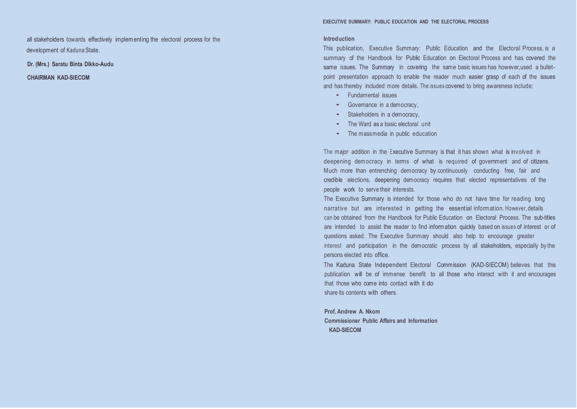all stakeholders towards effectively implementing the electoral process for the development of Kaduna State.

**Dr. (Mrs.) Saratu Binta Dikko-Audu**

**CHAIRMAN KAD-SIECOM**

### **Introduction**

This publication, Executive Summary: Public Education and the Electoral Process, is a summary of the Handbook for Public Education on Electoral Process and has covered the same issues. The Summary in covering the same basic issues has however, used a bulletpoint presentation approach to enable the reader much easier grasp of each of the issues and has thereby included more details. The issues covered to bring awareness include;

- Fundamental issues
- Governance in <sup>a</sup> democracy,
- Stakeholders in <sup>a</sup> democracy,
- The Ward as <sup>a</sup> basic electoral unit
- The massmedia in public education

The major addition in the Executive Summary is that it has shown what is involved in deepening democracy in terms of what is required of government and of citizens. Much more than entrenching democracy by continuously conducting free, fair and credible elections, deepening democracy requires that elected representatives of the people work to serve their interests.

The Executive Summary is intended for those who do not have time for reading long narrative but are interested in getting the essential information. However, details can be obtained from the Handbook for Public Education on Electoral Process. The sub-titles are intended to assist the reader to find information quickly based on issues of interest or of questions asked. The Executive Summary should also help to encourage greater interest and participation in the democratic process by all stakeholders, especially by the persons elected into office.

The Kaduna State Independent Electoral Commission (KAD-SIECOM) believes that this publication will be of immense benefit to all those who interact with it and encourages that those who come into contact with it do share its contents with others.

**Prof. Andrew A. Nkom Commissioner Public Affairs and Information KAD-SIECOM**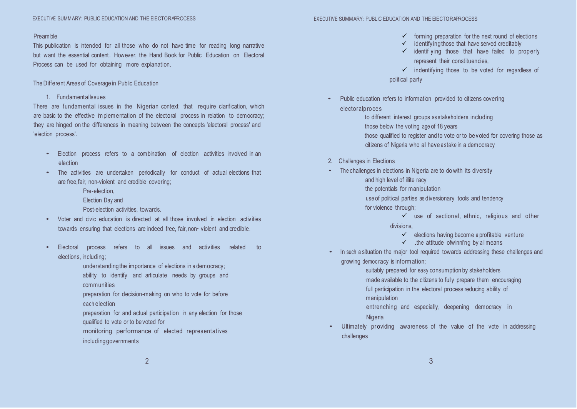### Preamble

This publication is intended for all those who do not have time for reading long narrative but want the essential content. However, the Hand Book for Public Education on Electoral Process can be used for obtaining more explanation.

## The Different Areas of Coverage in Public Education

1. Fundamentallssues

There are fundam ental issues in the Nigerian context that require clarification, which are basic to the effective implementation of the electoral process in relation to democracy; they are hinged on the differences in meaning between the concepts 'electoral process' and 'election process'.

- Election process refers to a combination of election activities involved in an election
- The activities are undertaken periodically for conduct of actual elections that are free,fair, non-violent and credible covering;
	- Pre-election,
	- Election Day and
	- Post-election activities, towards.
- Voter and civic education is directed at all those involved in election activities towards ensuring that elections are indeed free, fair, non• violent and credible.
- Electoral process refers to all issues and activities related to elections, including;
	- understandingthe importance of elections in a democracy;

ability to identify and articulate needs by groups and communities

preparation for decision-making on who to vote for before each election

preparation for and actual participation in any election for those qualified to vote or to bevoted for

monitoring performance of elected representatives includinggovernments

- $\checkmark$  forming preparation for the next round of elections
- identifying those that have served creditably
- $\checkmark$  identif ying those that have failed to properly represent their constituencies,

✓ indentifying those to be voted for regardless of

political party

- Public education refers to information provided to citizens covering
	- electoralproces

to different interest groups as stakeholders, including

- those below the voting age of 18 years
- those qualified to register and to vote or to bevoted for covering those as citizens of Nigeria who all have a stake in a democracy
- **Challenges in Elections**
- The challenges in elections in Nigeria are to do with its diversity
	- and high level of illite racy
	- the potentials for manipulation
	- use of political parties as diversionary tools and tendency
	- for violence through;

 $\checkmark$  use of sectional, ethnic, religious and other divisions,

- $\checkmark$  elections having become a profitable venture
- $\checkmark$  .the attitude of winni'ng by all means
- In such a situation the major tool required towards addressing these challenges and growing democ racy is information;

suitably prepared for easy consumption by stakeholders ·made available to the citizens to fully prepare them encouraging full participation in the electoral process reducing ability of manipulation

entrenching and especially, deepening democracy in

- Nigeria
- Ultimately providing awareness of the value of the vote in addressing challenges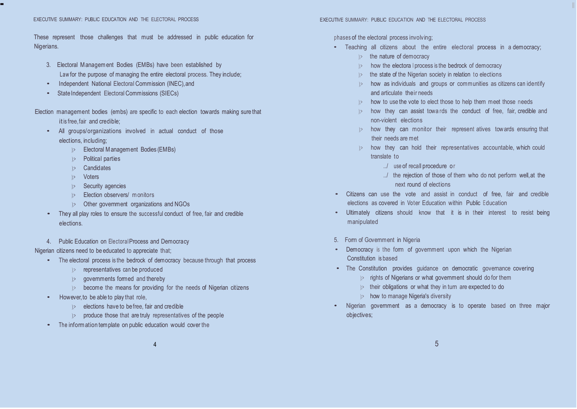These represent those challenges that must be addressed in public education for Nigerians.

- 3. Electoral Management Bodies (EMBs) have been established by Law for the purpose of managing the entire electoral process. They include;
- Independent National Electoral Commission (INEC), and
- State Independent Electoral Commissions (SIECs)

Election management bodies (embs) are specific to each election towards making sure that it is free, fair and credible;

- All groups/organizations involved in actual conduct of those elections, including;
	- );> Electoral Management Bodies (EMBs)
	- );> Political parties
	- );> Candidates
	- );> Voters
	- );> Security agencies
	- );> Election observers/ monitors
	- );> Other government organizations and NGOs
- They all play roles to ensure the successful conduct of free, fair and credible elections.
- 4. Public Education on ElectoralProcess and Democracy

Nigerian citizens need to be educated to appreciate that;

- The electoral process is the bedrock of democracy because through that process
	- );> representatives can be produced
	- );> governments formed and thereby
	- );> become the means for providing for the needs of Nigerian citizens
- However,to be able to play that role,
	- );> elections have to befree, fair and credible
	- $|$  produce those that are truly representatives of the people
- The information template on public education would cover the

## phases of the electoral process involving;

 $-$  Illinois and the interval  $\mathbb{I}$  is the interval of the interval  $\mathbb{I}$  is the interval of the interval of the interval of the interval of the interval of the interval of the interval of the interval of the interv

- Teaching all citizens about the entire electoral process in a democracy;
	- $\Rightarrow$  the nature of democracy
	- );> how the electora l process is the bedrock of democracy
	- the state of the Nigerian society in relation to elections
	- $\Rightarrow$  how as individuals and groups or communities as citizens can identify and articulate their needs
	- $\gg$  how to use the vote to elect those to help them meet those needs
	- ): how they can assist towards the conduct of free, fair, credible and non-violent elections
	- ): how they can monitor their represent atives towards ensuring that their needs are met
	- $\gg$  how they can hold their representatives accountable, which could translate to
		- ../ use of recall procedure or
		- ../ the rejection of those of them who do not perform well,at the next round of elections
- Citizens can use the vote and assist in conduct of free, fair and credible elections as covered in Voter Education within Public Education
- Ultimately citizens should know that it is in their interest to resist being manipulated
- 5. Form of Government in Nigeria
- Democracy is the form of government upon which the Nigerian Constitution is based
- The Constitution provides guidance on democratic governance covering
	- );> rights of Nigerians or what government should do for them
	- $\gg$  their obligations or what they in turn are expected to do
	- );> how to manage Nigeria's diversity
- Nigerian government as a democracy is to operate based on three major objectives;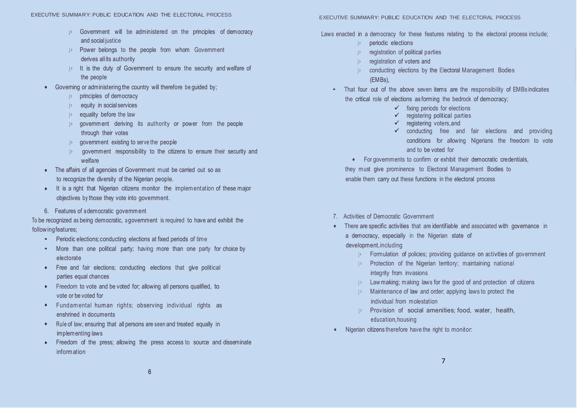- *);>* Government will be administered on the principles of democracy and social justice
- *); >* Power belongs to the people from whom Government derives all its authority
- *); >* It is the duty of Government to ensure the security and welfare of the people
- Governing or administering the country will therefore be guided by;
	- *);>* principles of democracy
	- *);>* equity in social services
	- *);>* equality before the law
	- *);>* government deriving its authority or power from the people through their votes
	- *);>* government existing to serve the people
	- *);>* government responsibility to the citizens to ensure their security and welfare
- The affairs of all agencies of Government must be carried out so as to recognize the diversity of the Nigerian people.
- It is a right that Nigerian citizens monitor the implementation of these major objectives by those they vote into government.
- 6. Features of a democratic governm ent

To be recognized as being democratic, a government is required to have and exhibit the followingfeatures;

- Periodic elections;conducting elections at fixed periods of time
- More than one political party; having more than one party for choice by electorate
- Free and fair elections; conducting elections that give political parties equal chances
- Freedom to vote and be voted for; allowing all persons qualified, to vote or be voted for
- Fundamental human rights; observing individual rights as enshrined in documents
- Rule of law; ensuring that all persons are seen and treated equally in implementing laws
- Freedom of the press; allowing the press access to source and disseminate information

Laws enacted in a democracy for these features relating to the electoral process include;

- *);>* periodic elections
- *);>* registration of political parties
- *);>* registration of voters and
- *);>* conducting elections by the Electoral Management Bodies (EMBs),
- That four out of the above seven items are the responsibility of EMBs indicates the critical role of elections as forming the bedrock of democracy;
	- $\checkmark$  fixing periods for elections
	- $\checkmark$  registering political parties
	- $\checkmark$  registering voters, and
	- ✓ conducting free and fair elections and providing conditions for allowing Nigerians the freedom to vote and to be voted for

• For governments to confirm or exhibit their democratic credentials, they must give prominence to Electoral Management Bodies to enable them carry out these functions in the electoral process

- 7. Activities of Democratic Government
- There are specific activities that are identifiable and associated with governance in a democracy, especially in the Nigerian state of

# development,including

- Formulation of policies; providing guidance on activities of government
- *); >* Protection of the Nigerian territory; maintaining national integrity from invasions
- *); >* Lawmaking; making laws for the good of and protection of citizens
- *); >* Maintenance of law and order; applying laws to protect the individual from molestation
- *);>* Provision of social amenities; food, water, health, education,housing
- Nigerian citizens therefore have the right to monitor: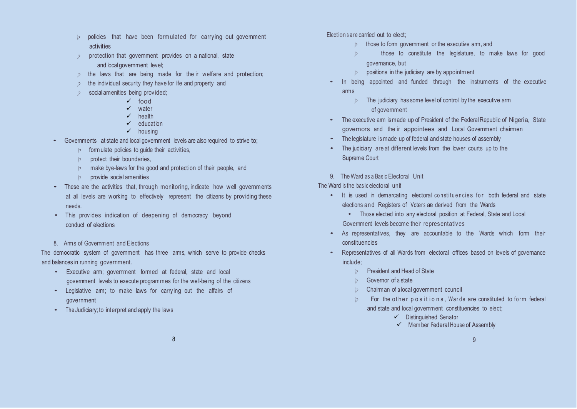- *); >* policies that have been formulated for carrying out government activities
- *);>* protection that government provides on a national, state and local government level;
- *); >* the laws that are being made for the ir welfare and protection;
- *); >* the individual security they have for life and property and
- *); >* social amenities being provided;
	- ✓ food
	- ✓ water
	- ✓ health
	- ✓ education
	- ✓ housing
- Governments at state and local government levels are also required to strive to;
	- *); >* formulate policies to guide their activities,
	- *); >* protect their boundaries,
	- *); >* make bye-laws for the good and protection of their people, and
	- *); >* provide social amenities
- These are the activities that, through monitoring, indicate how well governments at all levels are working to effectively represent the citizens by providing these needs.
- This provides indication of deepening of democracy beyond conduct of elections
- 8. Arms of Government and Flections

The democratic system of government has three arms, which serve to provide checks and balances in running government.

- Executive am; government formed at federal, state and local government levels to execute programmes for the well-being of the citizens
- Legislative am; to make laws for carrying out the affairs of government
- The Judiciary;to interpret and apply the laws

Election s a re carried out to elect;

- *);>* those to form government or the executive arm, and
- *); >* those to constitute the legislature, to make laws for good governance, but
- *); >* positions in the judiciary are by appointment
- In being appointed and funded through the instruments of the executive arms
	- *); >* The judiciary has some level of control by the executive arm of government
- The executive arm ismade up of President of the Federal Republic of Nigeria, State governors and the ir appointees and Local Government chairmen
- The legislature ismade up of federal and state houses of assembly
- The judiciary are at different levels from the lower courts up to the Supreme Court
- 9. TheWard as a Basic Electoral Unit

The Ward is the basic electoral unit

- It is used in demarcating electoral constituencies for both federal and state elections and Registers of Voters are derived from the Wards
	- Those elected into any electoral position at Federal, State and Local Government levels become their representatives
- As representatives, they are accountable to the Wards which form their constituencies
- Representatives of all Wards from electoral offices based on levels of governance include;
	- **President and Head of State**
	- *);>* Governor of a state
	- *); >* Chairman of a local government council
	- $\triangleright$  For the other positions, Wards are constituted to form federal and state and local government constituencies to elect;
		- ✓ Distinguished Senator
		- ✓ Member Federal House of Assembly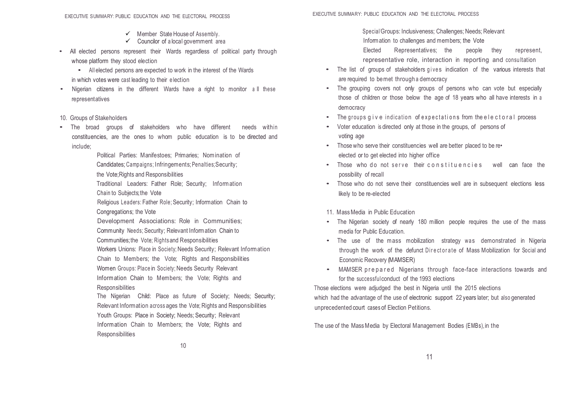- $\checkmark$  Member State House of Assembly.
- $\checkmark$  Councilor of a local government area
- All elected persons represent their Wards regardless of political party through whose platform they stood election
	- All elected persons are expected to work in the interest of the Wards in which votes were cast leading to their e lection
- Nigerian citizens in the different Wards have a right to monitor all these representatives
- 10. Groups of Stakeholders
- The broad groups of stakeholders who have different needs within constituencies, are the ones to whom public education is to be directed and include;

Political Parties: Manifestoes; Primaries; Nomination of Candidates; Campaigns; Infringements; Penalties; Security; the Vote;Rights and Responsibilities Traditional Leaders: Father Role; Security; Information Chain to Subjects;the Vote Religious Leaders: Father Role; Security; Information Chain to Congregations; the Vote Development Associations: Role in Communities; Community Needs; Security; Relevant Information Chain to Communities;the Vote; Rightsand Responsibilities Workers Unions: Place in Society; Needs Security; Relevant Information Chain to Members; the Vote; Rights and Responsibilities Women Groups: Place in Society; Needs Security Relevant Information Chain to Members; the Vote; Rights and **Responsibilities** The Nigerian Child: Place as future of Society; Needs; Security;

Relevant Information across ages the Vote; Rights and Responsibilities Youth Groups: Place in Society; Needs; Security; Relevant Information Chain to Members; the Vote; Rights and **Responsibilities** 

Special 'Groups: Inclusiveness; Challenges; Needs; Relevant

Information to challenges and members; the Vote

Elected Representatives; the people they represent, representative role, interaction in reporting and consultation

- The list of groups of stakeholders gives indication of the various interests that are required to bemet through a democracy
- The grouping covers not only groups of persons who can vote but especially those of children or those below the age of 18 years who all have interests in a democracy
- The groups give indication of expectations from the electoral process
- Voter education is directed only at those in the groups, of persons of voting age
- Those who serve their constituencies well are better placed to be re• elected or to get elected into higher office
- Those who do not serve their constituencies well can face the possibility of recall
- Those who do not serve their constituencies well are in subsequent elections less likely to be re-elected

# 11. Mass Media in Public Education

- The Nigerian society of nearly 180 million people requires the use of the mass media for Public Education.
- The use of the mass mobilization strategy was demonstrated in Nigeria through the work of the defunct Directorate of Mass Mobilization for Social and Economic Recovery (MAMSER)
- MAMSER prepared Nigerians through face-face interactions towards and for the successfulconduct of the 1993 elections

Those elections were adjudged the best in Nigeria until the 2015 elections which had the advantage of the use of electronic support 22 years later; but also generated unprecedented court cases of Election Petitions.

The use of the Mass Media by Electoral Management Bodies (EMBs), in the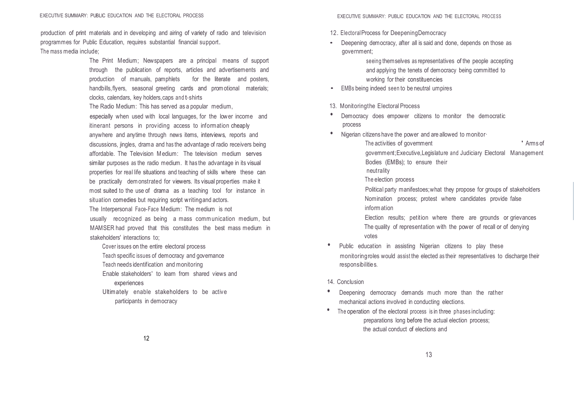production of print materials and in developing and airing of variety of radio and television programmes for Public Education, requires substantial financial support. The mass media include;

> The Print Medium; Newspapers are a principal means of support through the publication of reports, articles and advertisements and production of manuals, pamphlets for the literate and posters, handbills, flyers, seasonal greeting cards and promotional materials; clocks, calendars, key holders,caps and t-shirts

The Radio Medium: This has served as a popular medium,

especially when used with local languages, for the lower income and itinerant persons in providing access to information cheaply anywhere and anytime through news items, interviews, reports and discussions, jingles, drama and has the advantage of radio receivers being affordable. The Television Medium: The television medium serves similar purposes as the radio medium. It has the advantage in its visual properties for real life situations and teaching of skills where these can be practically demonstrated for viewers. Its visual properties make it most suited to the use of drama as a teaching tool for instance in situation comedies but requiring script writingand actors.

The Interpersonal Face-Face Medium: The medium is not usually recognized as being a mass communication medium, but MAMSER had proved that this constitutes the best mass medium in stakeholders' interactions to;

Cover issues on the entire electoral process Teach specific issues of democracy and governance Teach needs identification and monitoring Enable stakeholders' to learn from shared views and experiences

Ultimately enable stakeholders to be active participants in democracy

- 12. ElectoralProcess for DeepeningDemocracy
- Deepening democracy, after all is said and done, depends on those as government;

seeing themselves as representatives of the people accepting and applying the tenets of democracy being committed to working for their constituencies

- EMBs being indeed seen to be neutral umpires
- 13. Monitoringthe Electoral Process
- Democracy does empower citizens to monitor the democratic process
	- Nigerian citizens have the power and are allowed to monitor-The activities of government The activities of government by a state of  $\sim$  10  $\mu$  and  $\sim$  100  $\mu$ government;Executive,Legislature and Judiciary Electoral Management Bodies (EMBs); to ensure their neutrality
		- The election process

Political party manifestoes;what they propose for groups of stakeholders Nomination process; protest where candidates provide false information

Election results; petition where there are grounds or grievances The quality of representation with the power of recall or of denying votes

- Public education in assisting Nigerian citizens to play these monitoringroles would assist the elected as their representatives to discharge their responsibilities.
- 14. Conclusion
- Deepening democracy demands much more than the rather mechanical actions involved in conducting elections.
- The operation of the electoral process is in three phases including: preparations long before the actual election process; the actual conduct of elections and